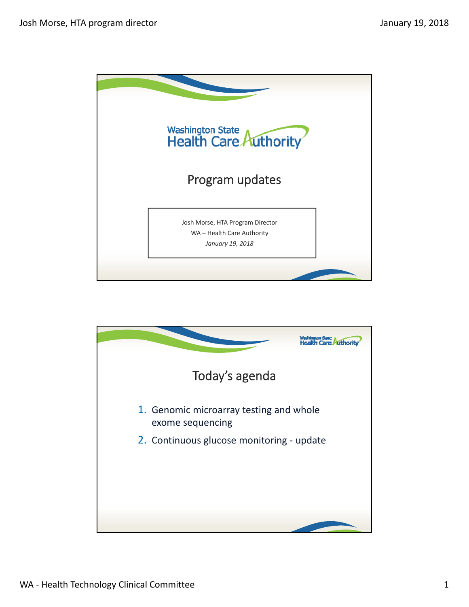

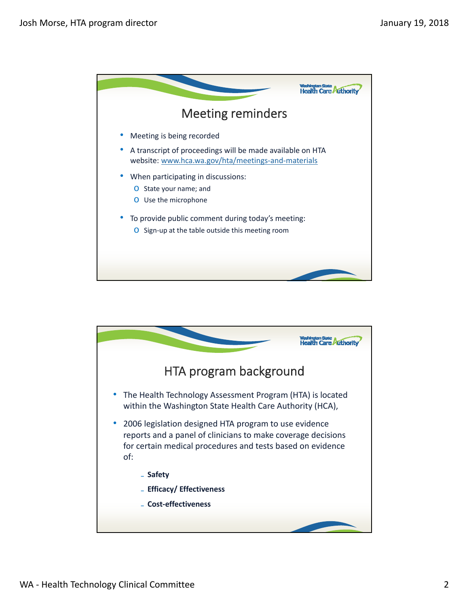

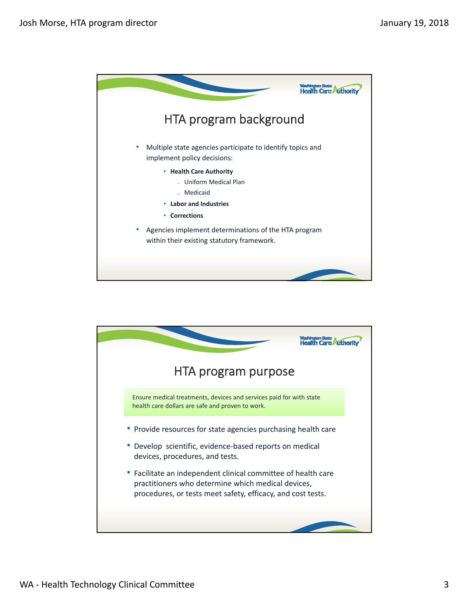

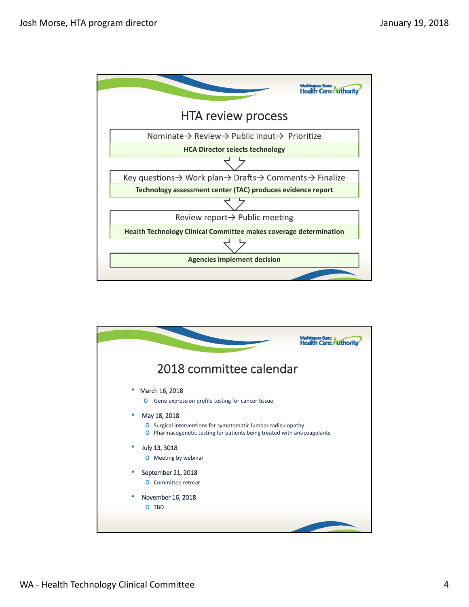

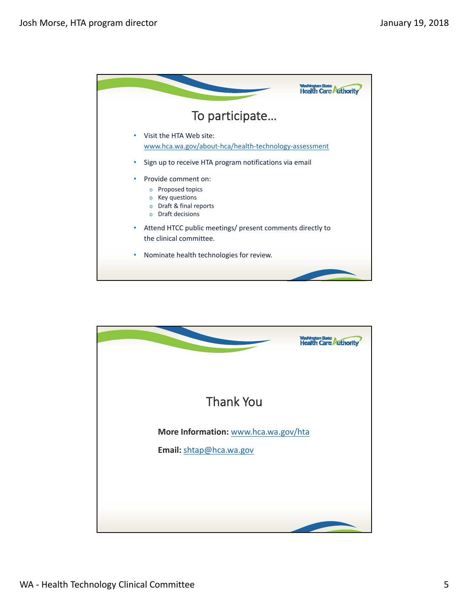

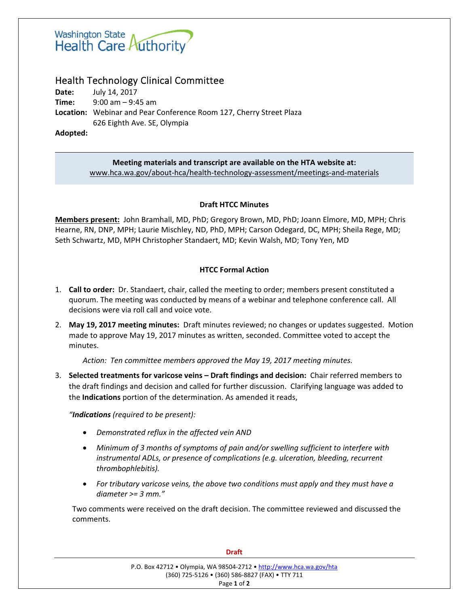

# Health Technology Clinical Committee

**Date: July 14, 2017 Time:** 9:00 am – 9:45 am Location: Webinar and Pear Conference Room 127, Cherry Street Plaza 626 Eighth Ave. SE, Olympia

**Adopted:** 

## **Meeting materials and transcript are available on the HTA website at:** www.hca.wa.gov/about‐hca/health‐technology‐assessment/meetings‐and‐materials

## **Draft HTCC Minutes**

**Members present:** John Bramhall, MD, PhD; Gregory Brown, MD, PhD; Joann Elmore, MD, MPH; Chris Hearne, RN, DNP, MPH; Laurie Mischley, ND, PhD, MPH; Carson Odegard, DC, MPH; Sheila Rege, MD; Seth Schwartz, MD, MPH Christopher Standaert, MD; Kevin Walsh, MD; Tony Yen, MD

## **HTCC Formal Action**

- 1. **Call to order:**  Dr. Standaert, chair, called the meeting to order; members present constituted a quorum. The meeting was conducted by means of a webinar and telephone conference call. All decisions were via roll call and voice vote.
- 2. **May 19, 2017 meeting minutes:** Draft minutes reviewed; no changes or updates suggested. Motion made to approve May 19, 2017 minutes as written, seconded. Committee voted to accept the minutes.

 *Action: Ten committee members approved the May 19, 2017 meeting minutes.* 

3. **Selected treatments for varicose veins – Draft findings and decision:** Chair referred members to the draft findings and decision and called for further discussion. Clarifying language was added to the **Indications** portion of the determination. As amended it reads,

*"Indications (required to be present):* 

- *Demonstrated reflux in the affected vein AND*
- *Minimum of 3 months of symptoms of pain and/or swelling sufficient to interfere with instrumental ADLs, or presence of complications (e.g. ulceration, bleeding, recurrent thrombophlebitis).*
- *For tributary varicose veins, the above two conditions must apply and they must have a diameter >= 3 mm."*

Two comments were received on the draft decision. The committee reviewed and discussed the comments. 

| <b>Draft</b>                                                                                                           |  |
|------------------------------------------------------------------------------------------------------------------------|--|
| P.O. Box 42712 • Olympia, WA 98504-2712 • http://www.hca.wa.gov/hta<br>(360) 725-5126 • (360) 586-8827 (FAX) • TTY 711 |  |
| Page 1 of 2                                                                                                            |  |